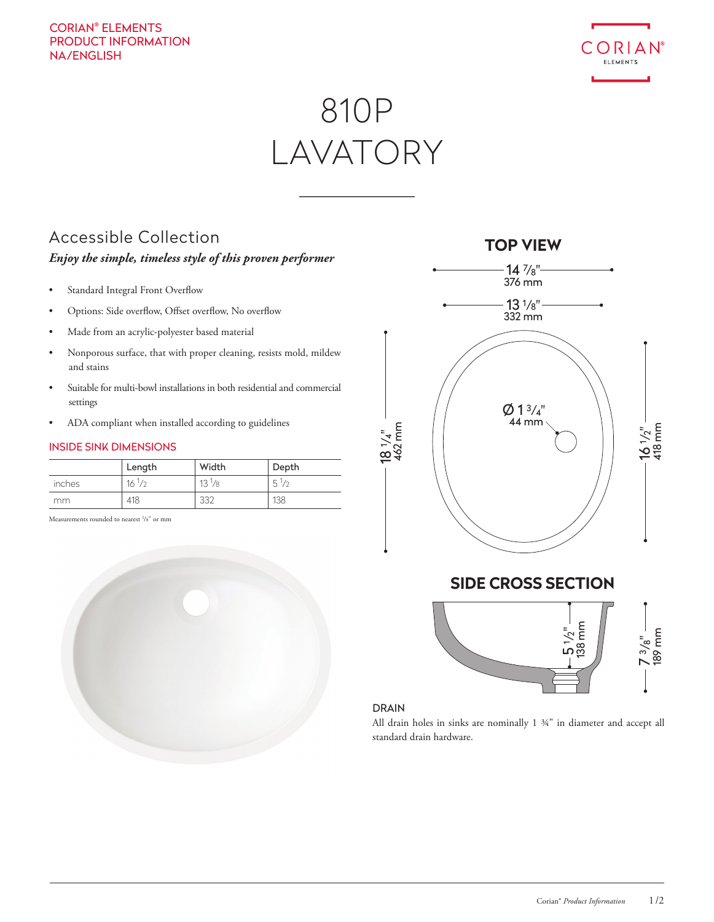#### CORIAN® ELEMENTS PRODUCT INFORMATION NA/ENGLISH



# 810P LAVATORY

### Accessible Collection

#### *Enjoy the simple, timeless style of this proven performer*

- Standard Integral Front Overflow
- Options: Side overflow, Offset overflow, No overflow
- Made from an acrylic-polyester based material
- Nonporous surface, that with proper cleaning, resists mold, mildew and stains
- Suitable for multi-bowl installations in both residential and commercial settings
- ADA compliant when installed according to guidelines

#### INSIDE SINK DIMENSIONS

|        | Length     | Width           | Depth          |
|--------|------------|-----------------|----------------|
| inches | $16^{1/2}$ | $13\frac{1}{8}$ | $5\frac{1}{2}$ |
| mm.    | 418        | 332             | 138            |

Measurements rounded to nearest <sup>1</sup>/8" or mm





#### **SIDE CROSS SECTION**



#### DRAIN

All drain holes in sinks are nominally 1 ¾" in diameter and accept all standard drain hardware.

#### **TOP VIEW**